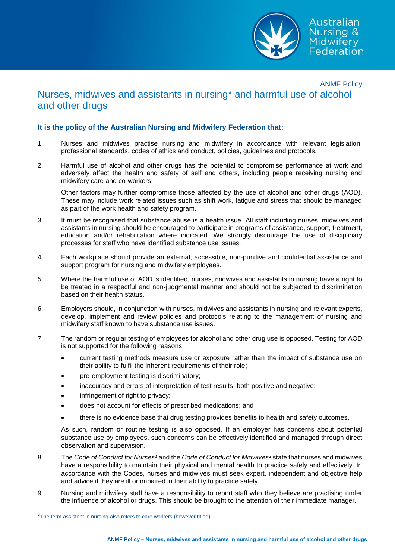

## ANMF Policy Nurses, midwives and assistants in nursing\* and harmful use of alcohol and other drugs

## **It is the policy of the Australian Nursing and Midwifery Federation that:**

- 1. Nurses and midwives practise nursing and midwifery in accordance with relevant legislation, professional standards, codes of ethics and conduct, policies, guidelines and protocols.
- 2. Harmful use of alcohol and other drugs has the potential to compromise performance at work and adversely affect the health and safety of self and others, including people receiving nursing and midwifery care and co-workers.

Other factors may further compromise those affected by the use of alcohol and other drugs (AOD). These may include work related issues such as shift work, fatigue and stress that should be managed as part of the work health and safety program.

- 3. It must be recognised that substance abuse is a health issue. All staff including nurses, midwives and assistants in nursing should be encouraged to participate in programs of assistance, support, treatment, education and/or rehabilitation where indicated. We strongly discourage the use of disciplinary processes for staff who have identified substance use issues.
- 4. Each workplace should provide an external, accessible, non-punitive and confidential assistance and support program for nursing and midwifery employees.
- 5. Where the harmful use of AOD is identified, nurses, midwives and assistants in nursing have a right to be treated in a respectful and non-judgmental manner and should not be subjected to discrimination based on their health status.
- 6. Employers should, in conjunction with nurses, midwives and assistants in nursing and relevant experts, develop, implement and review policies and protocols relating to the management of nursing and midwifery staff known to have substance use issues.
- 7. The random or regular testing of employees for alcohol and other drug use is opposed. Testing for AOD is not supported for the following reasons:
	- current testing methods measure use or exposure rather than the impact of substance use on their ability to fulfil the inherent requirements of their role;
	- pre-employment testing is discriminatory;
	- inaccuracy and errors of interpretation of test results, both positive and negative;
	- infringement of right to privacy;
	- does not account for effects of prescribed medications; and
	- there is no evidence base that drug testing provides benefits to health and safety outcomes.

As such, random or routine testing is also opposed. If an employer has concerns about potential substance use by employees, such concerns can be effectively identified and managed through direct observation and supervision.

- 8. The *Code of Conduct for Nurses<sup>1</sup>* and the *Code of Conduct for Midwives<sup>2</sup>* state that nurses and midwives have a responsibility to maintain their physical and mental health to practice safely and effectively. In accordance with the Codes, nurses and midwives must seek expert, independent and objective help and advice if they are ill or impaired in their ability to practice safely.
- 9. Nursing and midwifery staff have a responsibility to report staff who they believe are practising under the influence of alcohol or drugs. This should be brought to the attention of their immediate manager.

\*The term assistant in nursing also refers to care workers (however titled).